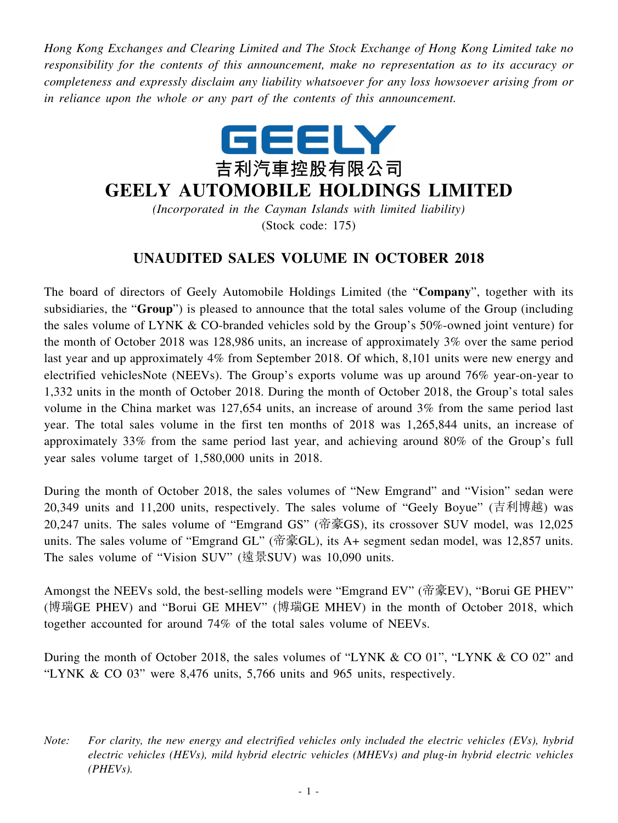*Hong Kong Exchanges and Clearing Limited and The Stock Exchange of Hong Kong Limited take no responsibility for the contents of this announcement, make no representation as to its accuracy or completeness and expressly disclaim any liability whatsoever for any loss howsoever arising from or in reliance upon the whole or any part of the contents of this announcement.*



## **GEELY AUTOMOBILE HOLDINGS LIMITED**

*(Incorporated in the Cayman Islands with limited liability)* (Stock code: 175)

## **UNAUDITED SALES VOLUME IN OCTOBER 2018**

The board of directors of Geely Automobile Holdings Limited (the "**Company**", together with its subsidiaries, the "**Group**") is pleased to announce that the total sales volume of the Group (including the sales volume of LYNK & CO-branded vehicles sold by the Group's 50%-owned joint venture) for the month of October 2018 was 128,986 units, an increase of approximately 3% over the same period last year and up approximately 4% from September 2018. Of which, 8,101 units were new energy and electrified vehiclesNote (NEEVs). The Group's exports volume was up around 76% year-on-year to 1,332 units in the month of October 2018. During the month of October 2018, the Group's total sales volume in the China market was 127,654 units, an increase of around 3% from the same period last year. The total sales volume in the first ten months of 2018 was 1,265,844 units, an increase of approximately 33% from the same period last year, and achieving around 80% of the Group's full year sales volume target of 1,580,000 units in 2018.

During the month of October 2018, the sales volumes of "New Emgrand" and "Vision" sedan were 20,349 units and 11,200 units, respectively. The sales volume of "Geely Boyue" (吉利博越) was 20,247 units. The sales volume of "Emgrand GS" (帝豪GS), its crossover SUV model, was 12,025 units. The sales volume of "Emgrand GL" (帝豪GL), its A+ segment sedan model, was 12,857 units. The sales volume of "Vision SUV" (遠景SUV) was 10,090 units.

Amongst the NEEVs sold, the best-selling models were "Emgrand EV" (帝豪EV), "Borui GE PHEV" (博瑞GE PHEV) and "Borui GE MHEV" (博瑞GE MHEV) in the month of October 2018, which together accounted for around 74% of the total sales volume of NEEVs.

During the month of October 2018, the sales volumes of "LYNK & CO 01", "LYNK & CO 02" and "LYNK & CO 03" were 8,476 units, 5,766 units and 965 units, respectively.

*Note: For clarity, the new energy and electrified vehicles only included the electric vehicles (EVs), hybrid electric vehicles (HEVs), mild hybrid electric vehicles (MHEVs) and plug-in hybrid electric vehicles (PHEVs).*